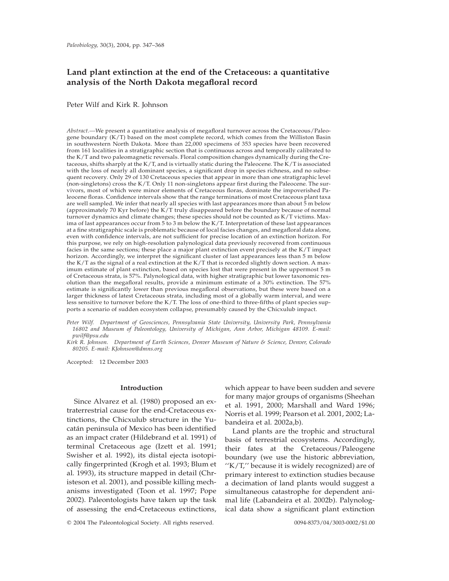# **Land plant extinction at the end of the Cretaceous: a quantitative analysis of the North Dakota megafloral record**

Peter Wilf and Kirk R. Johnson

*Abstract.—*We present a quantitative analysis of megafloral turnover across the Cretaceous/Paleogene boundary (K/T) based on the most complete record, which comes from the Williston Basin in southwestern North Dakota. More than 22,000 specimens of 353 species have been recovered from 161 localities in a stratigraphic section that is continuous across and temporally calibrated to the K/T and two paleomagnetic reversals. Floral composition changes dynamically during the Cretaceous, shifts sharply at the K/T, and is virtually static during the Paleocene. The K/T is associated with the loss of nearly all dominant species, a significant drop in species richness, and no subsequent recovery. Only 29 of 130 Cretaceous species that appear in more than one stratigraphic level (non-singletons) cross the K/T. Only 11 non-singletons appear first during the Paleocene. The survivors, most of which were minor elements of Cretaceous floras, dominate the impoverished Paleocene floras. Confidence intervals show that the range terminations of most Cretaceous plant taxa are well sampled. We infer that nearly all species with last appearances more than about 5 m below (approximately 70 Kyr before) the K/T truly disappeared before the boundary because of normal turnover dynamics and climate changes; these species should not be counted as K/T victims. Maxima of last appearances occur from 5 to 3 m below the K/T. Interpretation of these last appearances at a fine stratigraphic scale is problematic because of local facies changes, and megafloral data alone, even with confidence intervals, are not sufficient for precise location of an extinction horizon. For this purpose, we rely on high-resolution palynological data previously recovered from continuous facies in the same sections; these place a major plant extinction event precisely at the K/T impact horizon. Accordingly, we interpret the significant cluster of last appearances less than 5 m below the K/T as the signal of a real extinction at the K/T that is recorded slightly down section. A maximum estimate of plant extinction, based on species lost that were present in the uppermost 5 m of Cretaceous strata, is 57%. Palynological data, with higher stratigraphic but lower taxonomic resolution than the megafloral results, provide a minimum estimate of a 30% extinction. The 57% estimate is significantly lower than previous megafloral observations, but these were based on a larger thickness of latest Cretaceous strata, including most of a globally warm interval, and were less sensitive to turnover before the K/T. The loss of one-third to three-fifths of plant species supports a scenario of sudden ecosystem collapse, presumably caused by the Chicxulub impact.

*Peter Wilf. Department of Geosciences, Pennsylvania State University, University Park, Pennsylvania 16802 and Museum of Paleontology, University of Michigan, Ann Arbor, Michigan 48109. E-mail: pwilf@psu.edu*

*Kirk R. Johnson. Department of Earth Sciences, Denver Museum of Nature & Science, Denver, Colorado 80205. E-mail: KJohnson@dmns.org*

Accepted: 12 December 2003

## **Introduction**

Since Alvarez et al. (1980) proposed an extraterrestrial cause for the end-Cretaceous extinctions, the Chicxulub structure in the Yucatán peninsula of Mexico has been identified as an impact crater (Hildebrand et al. 1991) of terminal Cretaceous age (Izett et al. 1991; Swisher et al. 1992), its distal ejecta isotopically fingerprinted (Krogh et al. 1993; Blum et al. 1993), its structure mapped in detail (Christeson et al. 2001), and possible killing mechanisms investigated (Toon et al. 1997; Pope 2002). Paleontologists have taken up the task of assessing the end-Cretaceous extinctions,

which appear to have been sudden and severe for many major groups of organisms (Sheehan et al. 1991, 2000; Marshall and Ward 1996; Norris et al. 1999; Pearson et al. 2001, 2002; Labandeira et al. 2002a,b).

Land plants are the trophic and structural basis of terrestrial ecosystems. Accordingly, their fates at the Cretaceous/Paleogene boundary (we use the historic abbreviation, ''K/T,'' because it is widely recognized) are of primary interest to extinction studies because a decimation of land plants would suggest a simultaneous catastrophe for dependent animal life (Labandeira et al. 2002b). Palynological data show a significant plant extinction

© 2004 The Paleontological Society. All rights reserved. 0094-8373/04/3003-0002/\$1.00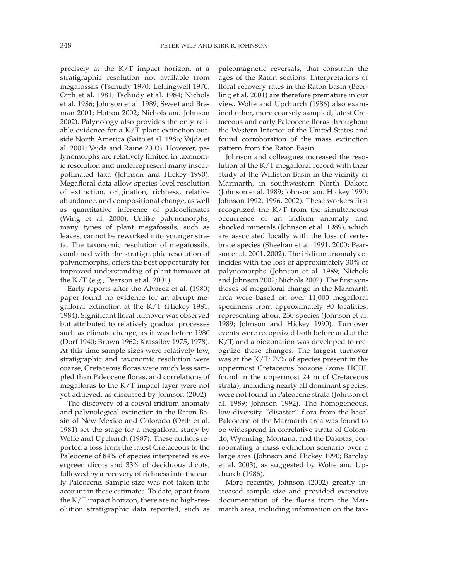precisely at the K/T impact horizon, at a stratigraphic resolution not available from megafossils (Tschudy 1970; Leffingwell 1970; Orth et al. 1981; Tschudy et al. 1984; Nichols et al. 1986; Johnson et al. 1989; Sweet and Braman 2001; Hotton 2002; Nichols and Johnson 2002). Palynology also provides the only reliable evidence for a K/T plant extinction outside North America (Saito et al. 1986; Vajda et al. 2001; Vajda and Raine 2003). However, palynomorphs are relatively limited in taxonomic resolution and underrepresent many insectpollinated taxa (Johnson and Hickey 1990). Megafloral data allow species-level resolution of extinction, origination, richness, relative abundance, and compositional change, as well as quantitative inference of paleoclimates (Wing et al. 2000). Unlike palynomorphs, many types of plant megafossils, such as leaves, cannot be reworked into younger strata. The taxonomic resolution of megafossils, combined with the stratigraphic resolution of palynomorphs, offers the best opportunity for improved understanding of plant turnover at the K/T (e.g., Pearson et al. 2001).

Early reports after the Alvarez et al. (1980) paper found no evidence for an abrupt megafloral extinction at the K/T (Hickey 1981, 1984). Significant floral turnover was observed but attributed to relatively gradual processes such as climate change, as it was before 1980 (Dorf 1940; Brown 1962; Krassilov 1975, 1978). At this time sample sizes were relatively low, stratigraphic and taxonomic resolution were coarse, Cretaceous floras were much less sampled than Paleocene floras, and correlations of megafloras to the K/T impact layer were not yet achieved, as discussed by Johnson (2002).

The discovery of a coeval iridium anomaly and palynological extinction in the Raton Basin of New Mexico and Colorado (Orth et al. 1981) set the stage for a megafloral study by Wolfe and Upchurch (1987). These authors reported a loss from the latest Cretaceous to the Paleocene of 84% of species interpreted as evergreen dicots and 33% of deciduous dicots, followed by a recovery of richness into the early Paleocene. Sample size was not taken into account in these estimates. To date, apart from the K/T impact horizon, there are no high-resolution stratigraphic data reported, such as paleomagnetic reversals, that constrain the ages of the Raton sections. Interpretations of floral recovery rates in the Raton Basin (Beerling et al. 2001) are therefore premature in our view. Wolfe and Upchurch (1986) also examined other, more coarsely sampled, latest Cretaceous and early Paleocene floras throughout the Western Interior of the United States and found corroboration of the mass extinction pattern from the Raton Basin.

Johnson and colleagues increased the resolution of the K/T megafloral record with their study of the Williston Basin in the vicinity of Marmarth, in southwestern North Dakota (Johnson et al. 1989; Johnson and Hickey 1990; Johnson 1992, 1996, 2002). These workers first recognized the K/T from the simultaneous occurrence of an iridium anomaly and shocked minerals (Johnson et al. 1989), which are associated locally with the loss of vertebrate species (Sheehan et al. 1991, 2000; Pearson et al. 2001, 2002). The iridium anomaly coincides with the loss of approximately 30% of palynomorphs (Johnson et al. 1989; Nichols and Johnson 2002; Nichols 2002). The first syntheses of megafloral change in the Marmarth area were based on over 11,000 megafloral specimens from approximately 90 localities, representing about 250 species (Johnson et al. 1989; Johnson and Hickey 1990). Turnover events were recognized both before and at the K/T, and a biozonation was developed to recognize these changes. The largest turnover was at the K/T: 79% of species present in the uppermost Cretaceous biozone (zone HCIII, found in the uppermost 24 m of Cretaceous strata), including nearly all dominant species, were not found in Paleocene strata (Johnson et al. 1989; Johnson 1992). The homogeneous, low-diversity ''disaster'' flora from the basal Paleocene of the Marmarth area was found to be widespread in correlative strata of Colorado, Wyoming, Montana, and the Dakotas, corroborating a mass extinction scenario over a large area (Johnson and Hickey 1990; Barclay et al. 2003), as suggested by Wolfe and Upchurch (1986).

More recently, Johnson (2002) greatly increased sample size and provided extensive documentation of the floras from the Marmarth area, including information on the tax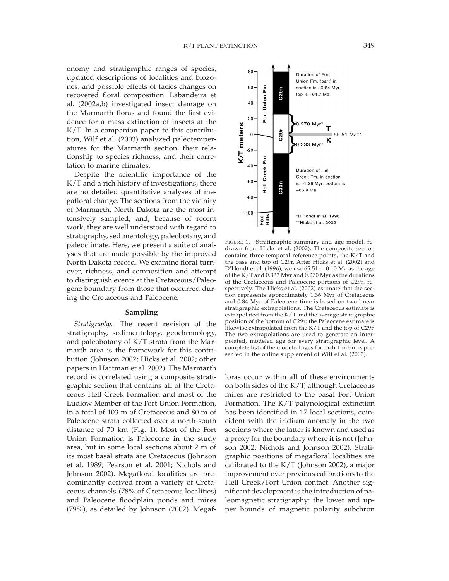onomy and stratigraphic ranges of species, updated descriptions of localities and biozones, and possible effects of facies changes on recovered floral composition. Labandeira et al. (2002a,b) investigated insect damage on the Marmarth floras and found the first evidence for a mass extinction of insects at the K/T. In a companion paper to this contribution, Wilf et al. (2003) analyzed paleotemperatures for the Marmarth section, their relationship to species richness, and their correlation to marine climates.

Despite the scientific importance of the K/T and a rich history of investigations, there are no detailed quantitative analyses of megafloral change. The sections from the vicinity of Marmarth, North Dakota are the most intensively sampled, and, because of recent work, they are well understood with regard to stratigraphy, sedimentology, paleobotany, and paleoclimate. Here, we present a suite of analyses that are made possible by the improved North Dakota record. We examine floral turnover, richness, and composition and attempt to distinguish events at the Cretaceous/Paleogene boundary from those that occurred during the Cretaceous and Paleocene.

# **Sampling**

*Stratigraphy.* The recent revision of the stratigraphy, sedimentology, geochronology, and paleobotany of K/T strata from the Marmarth area is the framework for this contribution (Johnson 2002; Hicks et al. 2002; other papers in Hartman et al. 2002). The Marmarth record is correlated using a composite stratigraphic section that contains all of the Cretaceous Hell Creek Formation and most of the Ludlow Member of the Fort Union Formation, in a total of 103 m of Cretaceous and 80 m of Paleocene strata collected over a north-south distance of 70 km (Fig. 1). Most of the Fort Union Formation is Paleocene in the study area, but in some local sections about 2 m of its most basal strata are Cretaceous (Johnson et al. 1989; Pearson et al. 2001; Nichols and Johnson 2002). Megafloral localities are predominantly derived from a variety of Cretaceous channels (78% of Cretaceous localities) and Paleocene floodplain ponds and mires (79%), as detailed by Johnson (2002). Megaf-



FIGURE 1. Stratigraphic summary and age model, redrawn from Hicks et al. (2002). The composite section contains three temporal reference points, the K/T and the base and top of C29r. After Hicks et al. (2002) and D'Hondt et al. (1996), we use 65.51  $\pm$  0.10 Ma as the age of the K/T and 0.333 Myr and 0.270 Myr as the durations of the Cretaceous and Paleocene portions of C29r, respectively. The Hicks et al. (2002) estimate that the section represents approximately 1.36 Myr of Cretaceous and 0.84 Myr of Paleocene time is based on two linear stratigraphic extrapolations. The Cretaceous estimate is extrapolated from the K/T and the average stratigraphic position of the bottom of C29r; the Paleocene estimate is likewise extrapolated from the K/T and the top of C29r. The two extrapolations are used to generate an interpolated, modeled age for every stratigraphic level. A complete list of the modeled ages for each 1-m bin is presented in the online supplement of Wilf et al. (2003).

loras occur within all of these environments on both sides of the K/T, although Cretaceous mires are restricted to the basal Fort Union Formation. The K/T palynological extinction has been identified in 17 local sections, coincident with the iridium anomaly in the two sections where the latter is known and used as a proxy for the boundary where it is not (Johnson 2002; Nichols and Johnson 2002). Stratigraphic positions of megafloral localities are calibrated to the K/T (Johnson 2002), a major improvement over previous calibrations to the Hell Creek/Fort Union contact. Another significant development is the introduction of paleomagnetic stratigraphy: the lower and upper bounds of magnetic polarity subchron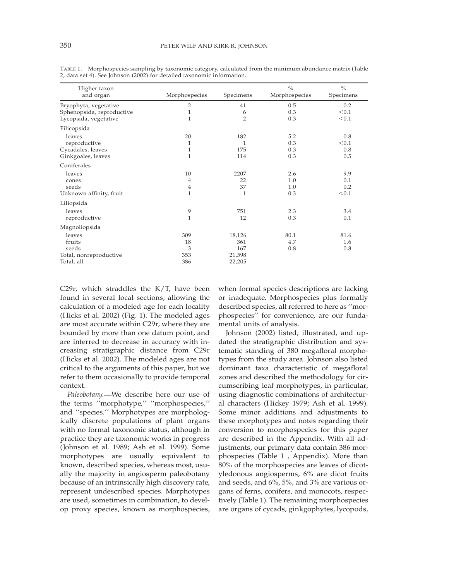| Higher taxon<br>and organ                                                   | Morphospecies                | Specimens                                | $\frac{0}{0}$<br>Morphospecies | $\frac{0}{0}$<br>Specimens |
|-----------------------------------------------------------------------------|------------------------------|------------------------------------------|--------------------------------|----------------------------|
| Bryophyta, vegetative<br>Sphenopsida, reproductive<br>Lycopsida, vegetative | 2<br>$\mathbf{1}$<br>1       | 41<br>6<br>$\overline{2}$                | 0.5<br>0.3<br>0.3              | 0.2<br>< 0.1<br>< 0.1      |
| Filicopsida                                                                 |                              |                                          |                                |                            |
| leaves<br>reproductive<br>Cycadales, leaves<br>Ginkgoales, leaves           | 20<br>1<br>1<br>$\mathbf{1}$ | 182<br>1<br>175<br>114                   | 5.2<br>0.3<br>0.3<br>0.3       | 0.8<br>< 0.1<br>0.8<br>0.5 |
| Coniferales                                                                 |                              |                                          |                                |                            |
| leaves<br>cones<br>seeds<br>Unknown affinity, fruit                         | 10<br>4<br>4<br>1            | 2207<br>22<br>37<br>$\mathbf{1}$         | 2.6<br>1.0<br>1.0<br>0.3       | 9.9<br>0.1<br>0.2<br>< 0.1 |
| Liliopsida                                                                  |                              |                                          |                                |                            |
| leaves<br>reproductive                                                      | 9<br>1                       | 751<br>12                                | 2.3<br>0.3                     | 3.4<br>0.1                 |
| Magnoliopsida                                                               |                              |                                          |                                |                            |
| leaves<br>fruits<br>seeds<br>Total, nonreproductive<br>Total, all           | 309<br>18<br>3<br>353<br>386 | 18,126<br>361<br>167<br>21,598<br>22,205 | 80.1<br>4.7<br>0.8             | 81.6<br>1.6<br>0.8         |

TABLE 1. Morphospecies sampling by taxonomic category, calculated from the minimum abundance matrix (Table 2, data set 4). See Johnson (2002) for detailed taxonomic information.

C29r, which straddles the K/T, have been found in several local sections, allowing the calculation of a modeled age for each locality (Hicks et al. 2002) (Fig. 1). The modeled ages are most accurate within C29r, where they are bounded by more than one datum point, and are inferred to decrease in accuracy with increasing stratigraphic distance from C29r (Hicks et al. 2002). The modeled ages are not critical to the arguments of this paper, but we refer to them occasionally to provide temporal context.

*Paleobotany.* We describe here our use of the terms ''morphotype,'' ''morphospecies,'' and ''species.'' Morphotypes are morphologically discrete populations of plant organs with no formal taxonomic status, although in practice they are taxonomic works in progress (Johnson et al. 1989; Ash et al. 1999). Some morphotypes are usually equivalent to known, described species, whereas most, usually the majority in angiosperm paleobotany because of an intrinsically high discovery rate, represent undescribed species. Morphotypes are used, sometimes in combination, to develop proxy species, known as morphospecies,

when formal species descriptions are lacking or inadequate. Morphospecies plus formally described species, all referred to here as ''morphospecies'' for convenience, are our fundamental units of analysis.

Johnson (2002) listed, illustrated, and updated the stratigraphic distribution and systematic standing of 380 megafloral morphotypes from the study area. Johnson also listed dominant taxa characteristic of megafloral zones and described the methodology for circumscribing leaf morphotypes, in particular, using diagnostic combinations of architectural characters (Hickey 1979; Ash et al. 1999). Some minor additions and adjustments to these morphotypes and notes regarding their conversion to morphospecies for this paper are described in the Appendix. With all adjustments, our primary data contain 386 morphospecies (Table 1 , Appendix). More than 80% of the morphospecies are leaves of dicotyledonous angiosperms, 6% are dicot fruits and seeds, and 6%, 5%, and 3% are various organs of ferns, conifers, and monocots, respectively (Table 1). The remaining morphospecies are organs of cycads, ginkgophytes, lycopods,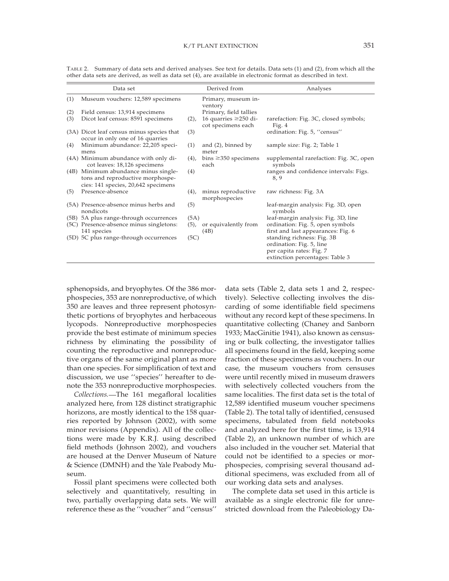| other data sets are derived, as well as data set (4), are available in electronic format as described in text. |                                                                                                                 |         |                                                  |                                                                        |  |  |  |  |
|----------------------------------------------------------------------------------------------------------------|-----------------------------------------------------------------------------------------------------------------|---------|--------------------------------------------------|------------------------------------------------------------------------|--|--|--|--|
|                                                                                                                | Data set                                                                                                        |         | Derived from                                     | Analyses                                                               |  |  |  |  |
| (1)                                                                                                            | Museum vouchers: 12,589 specimens                                                                               |         | Primary, museum in-<br>ventory                   |                                                                        |  |  |  |  |
| (2)                                                                                                            | Field census: 13,914 specimens                                                                                  |         | Primary, field tallies                           |                                                                        |  |  |  |  |
| (3)                                                                                                            | Dicot leaf census: 8591 specimens                                                                               | $(2)$ , | 16 quarries $\geq$ 250 di-<br>cot specimens each | rarefaction: Fig. 3C, closed symbols;<br>Fig. $4$                      |  |  |  |  |
|                                                                                                                | (3A) Dicot leaf census minus species that<br>occur in only one of 16 quarries                                   | (3)     |                                                  | ordination: Fig. 5, "census"                                           |  |  |  |  |
| (4)                                                                                                            | Minimum abundance: 22,205 speci-<br>mens                                                                        | (1)     | and $(2)$ , binned by<br>meter                   | sample size: Fig. 2; Table 1                                           |  |  |  |  |
|                                                                                                                | (4A) Minimum abundance with only di-<br>cot leaves: 18,126 specimens                                            | $(4)$ , | bins $\geq$ 350 specimens<br>each                | supplemental rarefaction: Fig. 3C, open<br>symbols                     |  |  |  |  |
|                                                                                                                | (4B) Minimum abundance minus single-<br>tons and reproductive morphospe-<br>cies: 141 species, 20,642 specimens | (4)     |                                                  | ranges and confidence intervals: Figs.<br>8, 9                         |  |  |  |  |
| (5)                                                                                                            | Presence-absence                                                                                                | (4),    | minus reproductive<br>morphospecies              | raw richness: Fig. 3A                                                  |  |  |  |  |
|                                                                                                                | (5A) Presence-absence minus herbs and<br>nondicots                                                              | (5)     |                                                  | leaf-margin analysis: Fig. 3D, open<br>symbols                         |  |  |  |  |
|                                                                                                                | (5B) 5A plus range-through occurrences                                                                          | (5A)    |                                                  | leaf-margin analysis: Fig. 3D, line                                    |  |  |  |  |
|                                                                                                                | (5C) Presence-absence minus singletons:<br>141 species                                                          | $(5)$ , | or equivalently from<br>(4B)                     | ordination: Fig. 5, open symbols<br>first and last appearances: Fig. 6 |  |  |  |  |

(5D) 5C plus range-through occurrences (5C) standing richness: Fig. 3B

TABLE 2. Summary of data sets and derived analyses. See text for details. Data sets (1) and (2), from which all the other data sets are derived, as well as data set (4), are available in electronic format as described in text.

sphenopsids, and bryophytes. Of the 386 morphospecies, 353 are nonreproductive, of which 350 are leaves and three represent photosynthetic portions of bryophytes and herbaceous lycopods. Nonreproductive morphospecies provide the best estimate of minimum species richness by eliminating the possibility of counting the reproductive and nonreproductive organs of the same original plant as more than one species. For simplification of text and discussion, we use ''species'' hereafter to denote the 353 nonreproductive morphospecies.

 $\equiv$ 

*Collections.* The 161 megafloral localities analyzed here, from 128 distinct stratigraphic horizons, are mostly identical to the 158 quarries reported by Johnson (2002), with some minor revisions (Appendix). All of the collections were made by K.R.J. using described field methods (Johnson 2002), and vouchers are housed at the Denver Museum of Nature & Science (DMNH) and the Yale Peabody Museum.

Fossil plant specimens were collected both selectively and quantitatively, resulting in two, partially overlapping data sets. We will reference these as the ''voucher'' and ''census''

data sets (Table 2, data sets 1 and 2, respectively). Selective collecting involves the discarding of some identifiable field specimens without any record kept of these specimens. In quantitative collecting (Chaney and Sanborn 1933; MacGinitie 1941), also known as censusing or bulk collecting, the investigator tallies all specimens found in the field, keeping some fraction of these specimens as vouchers. In our case, the museum vouchers from censuses were until recently mixed in museum drawers with selectively collected vouchers from the same localities. The first data set is the total of 12,589 identified museum voucher specimens (Table 2). The total tally of identified, censused specimens, tabulated from field notebooks and analyzed here for the first time, is 13,914 (Table 2), an unknown number of which are also included in the voucher set. Material that could not be identified to a species or morphospecies, comprising several thousand additional specimens, was excluded from all of our working data sets and analyses.

ordination: Fig. 5, line per capita rates: Fig. 7 extinction percentages: Table 3

The complete data set used in this article is available as a single electronic file for unrestricted download from the Paleobiology Da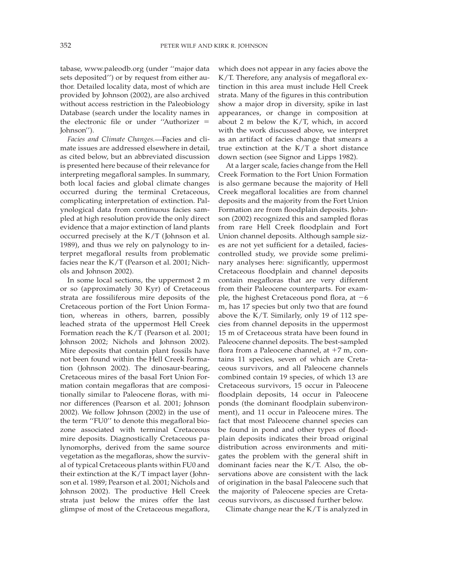tabase, www.paleodb.org (under ''major data sets deposited'') or by request from either author. Detailed locality data, most of which are provided by Johnson (2002), are also archived without access restriction in the Paleobiology Database (search under the locality names in the electronic file or under "Authorizer  $=$ Johnson'').

Facies and Climate Changes.-Facies and climate issues are addressed elsewhere in detail, as cited below, but an abbreviated discussion is presented here because of their relevance for interpreting megafloral samples. In summary, both local facies and global climate changes occurred during the terminal Cretaceous, complicating interpretation of extinction. Palynological data from continuous facies sampled at high resolution provide the only direct evidence that a major extinction of land plants occurred precisely at the K/T (Johnson et al. 1989), and thus we rely on palynology to interpret megafloral results from problematic facies near the K/T (Pearson et al. 2001; Nichols and Johnson 2002).

In some local sections, the uppermost 2 m or so (approximately 30 Kyr) of Cretaceous strata are fossiliferous mire deposits of the Cretaceous portion of the Fort Union Formation, whereas in others, barren, possibly leached strata of the uppermost Hell Creek Formation reach the K/T (Pearson et al. 2001; Johnson 2002; Nichols and Johnson 2002). Mire deposits that contain plant fossils have not been found within the Hell Creek Formation (Johnson 2002). The dinosaur-bearing, Cretaceous mires of the basal Fort Union Formation contain megafloras that are compositionally similar to Paleocene floras, with minor differences (Pearson et al. 2001; Johnson 2002). We follow Johnson (2002) in the use of the term ''FU0'' to denote this megafloral biozone associated with terminal Cretaceous mire deposits. Diagnostically Cretaceous palynomorphs, derived from the same source vegetation as the megafloras, show the survival of typical Cretaceous plants within FU0 and their extinction at the K/T impact layer (Johnson et al. 1989; Pearson et al. 2001; Nichols and Johnson 2002). The productive Hell Creek strata just below the mires offer the last glimpse of most of the Cretaceous megaflora, which does not appear in any facies above the K/T. Therefore, any analysis of megafloral extinction in this area must include Hell Creek strata. Many of the figures in this contribution show a major drop in diversity, spike in last appearances, or change in composition at about 2 m below the K/T, which, in accord with the work discussed above, we interpret as an artifact of facies change that smears a true extinction at the K/T a short distance down section (see Signor and Lipps 1982).

At a larger scale, facies change from the Hell Creek Formation to the Fort Union Formation is also germane because the majority of Hell Creek megafloral localities are from channel deposits and the majority from the Fort Union Formation are from floodplain deposits. Johnson (2002) recognized this and sampled floras from rare Hell Creek floodplain and Fort Union channel deposits. Although sample sizes are not yet sufficient for a detailed, faciescontrolled study, we provide some preliminary analyses here: significantly, uppermost Cretaceous floodplain and channel deposits contain megafloras that are very different from their Paleocene counterparts. For example, the highest Cretaceous pond flora, at  $-6$ m, has 17 species but only two that are found above the K/T. Similarly, only 19 of 112 species from channel deposits in the uppermost 15 m of Cretaceous strata have been found in Paleocene channel deposits. The best-sampled flora from a Paleocene channel, at  $+7$  m, contains 11 species, seven of which are Cretaceous survivors, and all Paleocene channels combined contain 19 species, of which 13 are Cretaceous survivors, 15 occur in Paleocene floodplain deposits, 14 occur in Paleocene ponds (the dominant floodplain subenvironment), and 11 occur in Paleocene mires. The fact that most Paleocene channel species can be found in pond and other types of floodplain deposits indicates their broad original distribution across environments and mitigates the problem with the general shift in dominant facies near the K/T. Also, the observations above are consistent with the lack of origination in the basal Paleocene such that the majority of Paleocene species are Cretaceous survivors, as discussed further below.

Climate change near the K/T is analyzed in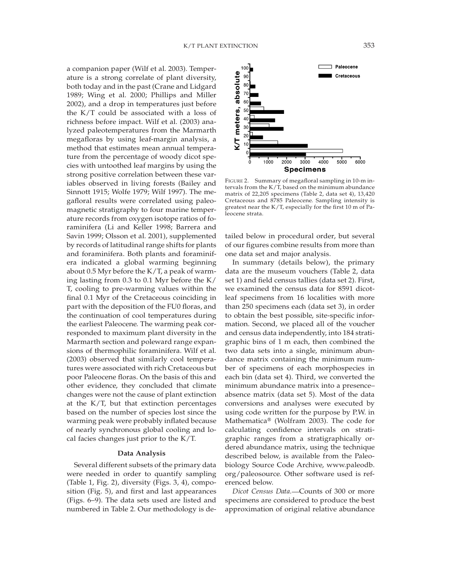a companion paper (Wilf et al. 2003). Temperature is a strong correlate of plant diversity, both today and in the past (Crane and Lidgard 1989; Wing et al. 2000; Phillips and Miller 2002), and a drop in temperatures just before the K/T could be associated with a loss of richness before impact. Wilf et al. (2003) analyzed paleotemperatures from the Marmarth megafloras by using leaf-margin analysis, a method that estimates mean annual temperature from the percentage of woody dicot species with untoothed leaf margins by using the strong positive correlation between these variables observed in living forests (Bailey and Sinnott 1915; Wolfe 1979; Wilf 1997). The megafloral results were correlated using paleomagnetic stratigraphy to four marine temperature records from oxygen isotope ratios of foraminifera (Li and Keller 1998; Barrera and Savin 1999; Olsson et al. 2001), supplemented by records of latitudinal range shifts for plants and foraminifera. Both plants and foraminifera indicated a global warming beginning about 0.5 Myr before the K/T, a peak of warming lasting from 0.3 to 0.1 Myr before the K/ T, cooling to pre-warming values within the final 0.1 Myr of the Cretaceous coinciding in part with the deposition of the FU0 floras, and the continuation of cool temperatures during the earliest Paleocene. The warming peak corresponded to maximum plant diversity in the Marmarth section and poleward range expansions of thermophilic foraminifera. Wilf et al. (2003) observed that similarly cool temperatures were associated with rich Cretaceous but poor Paleocene floras. On the basis of this and other evidence, they concluded that climate changes were not the cause of plant extinction at the K/T, but that extinction percentages based on the number of species lost since the warming peak were probably inflated because of nearly synchronous global cooling and local facies changes just prior to the K/T.

## **Data Analysis**

Several different subsets of the primary data were needed in order to quantify sampling (Table 1, Fig. 2), diversity (Figs. 3, 4), composition (Fig. 5), and first and last appearances (Figs. 6–9). The data sets used are listed and numbered in Table 2. Our methodology is de-



FIGURE 2. Summary of megafloral sampling in 10-m intervals from the K/T, based on the minimum abundance matrix of 22,205 specimens (Table 2, data set 4), 13,420 Cretaceous and 8785 Paleocene. Sampling intensity is greatest near the K/T, especially for the first 10 m of Paleocene strata.

tailed below in procedural order, but several of our figures combine results from more than one data set and major analysis.

In summary (details below), the primary data are the museum vouchers (Table 2, data set 1) and field census tallies (data set 2). First, we examined the census data for 8591 dicotleaf specimens from 16 localities with more than 250 specimens each (data set 3), in order to obtain the best possible, site-specific information. Second, we placed all of the voucher and census data independently, into 184 stratigraphic bins of 1 m each, then combined the two data sets into a single, minimum abundance matrix containing the minimum number of specimens of each morphospecies in each bin (data set 4). Third, we converted the minimum abundance matrix into a presence– absence matrix (data set 5). Most of the data conversions and analyses were executed by using code written for the purpose by P.W. in Mathematica® (Wolfram 2003). The code for calculating confidence intervals on stratigraphic ranges from a stratigraphically ordered abundance matrix, using the technique described below, is available from the Paleobiology Source Code Archive, www.paleodb. org/paleosource. Other software used is referenced below.

*Dicot Census Data.* Counts of 300 or more specimens are considered to produce the best approximation of original relative abundance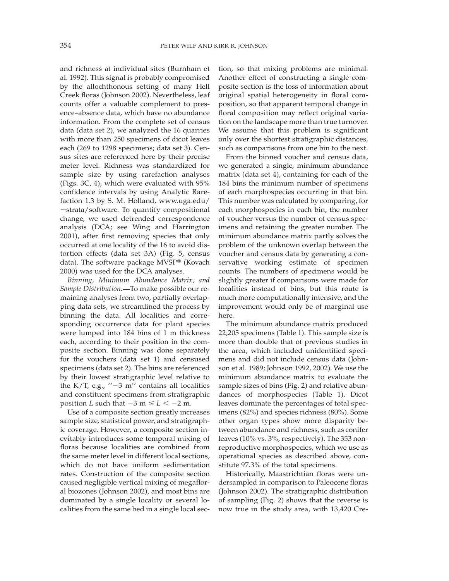and richness at individual sites (Burnham et al. 1992). This signal is probably compromised by the allochthonous setting of many Hell Creek floras (Johnson 2002). Nevertheless, leaf counts offer a valuable complement to presence–absence data, which have no abundance information. From the complete set of census data (data set 2), we analyzed the 16 quarries with more than 250 specimens of dicot leaves each (269 to 1298 specimens; data set 3). Census sites are referenced here by their precise meter level. Richness was standardized for sample size by using rarefaction analyses (Figs. 3C, 4), which were evaluated with 95% confidence intervals by using Analytic Rarefaction 1.3 by S. M. Holland, www.uga.edu/  $\sim$ strata/software. To quantify compositional change, we used detrended correspondence analysis (DCA; see Wing and Harrington 2001), after first removing species that only occurred at one locality of the 16 to avoid distortion effects (data set 3A) (Fig. 5, census data). The software package MVSP® (Kovach 2000) was used for the DCA analyses.

*Binning, Minimum Abundance Matrix, and Sample Distribution.* To make possible our remaining analyses from two, partially overlapping data sets, we streamlined the process by binning the data. All localities and corresponding occurrence data for plant species were lumped into 184 bins of 1 m thickness each, according to their position in the composite section. Binning was done separately for the vouchers (data set 1) and censused specimens (data set 2). The bins are referenced by their lowest stratigraphic level relative to the K/T, e.g.,  $-3$  m'' contains all localities and constituent specimens from stratigraphic position *L* such that  $-3$  m  $\le L < -2$  m.

Use of a composite section greatly increases sample size, statistical power, and stratigraphic coverage. However, a composite section inevitably introduces some temporal mixing of floras because localities are combined from the same meter level in different local sections, which do not have uniform sedimentation rates. Construction of the composite section caused negligible vertical mixing of megafloral biozones (Johnson 2002), and most bins are dominated by a single locality or several localities from the same bed in a single local section, so that mixing problems are minimal. Another effect of constructing a single composite section is the loss of information about original spatial heterogeneity in floral composition, so that apparent temporal change in floral composition may reflect original variation on the landscape more than true turnover. We assume that this problem is significant only over the shortest stratigraphic distances, such as comparisons from one bin to the next.

From the binned voucher and census data, we generated a single, minimum abundance matrix (data set 4), containing for each of the 184 bins the minimum number of specimens of each morphospecies occurring in that bin. This number was calculated by comparing, for each morphospecies in each bin, the number of voucher versus the number of census specimens and retaining the greater number. The minimum abundance matrix partly solves the problem of the unknown overlap between the voucher and census data by generating a conservative working estimate of specimen counts. The numbers of specimens would be slightly greater if comparisons were made for localities instead of bins, but this route is much more computationally intensive, and the improvement would only be of marginal use here.

The minimum abundance matrix produced 22,205 specimens (Table 1). This sample size is more than double that of previous studies in the area, which included unidentified specimens and did not include census data (Johnson et al. 1989; Johnson 1992, 2002). We use the minimum abundance matrix to evaluate the sample sizes of bins (Fig. 2) and relative abundances of morphospecies (Table 1). Dicot leaves dominate the percentages of total specimens (82%) and species richness (80%). Some other organ types show more disparity between abundance and richness, such as conifer leaves (10% vs. 3%, respectively). The 353 nonreproductive morphospecies, which we use as operational species as described above, constitute 97.3% of the total specimens.

Historically, Maastrichtian floras were undersampled in comparison to Paleocene floras (Johnson 2002). The stratigraphic distribution of sampling (Fig. 2) shows that the reverse is now true in the study area, with 13,420 Cre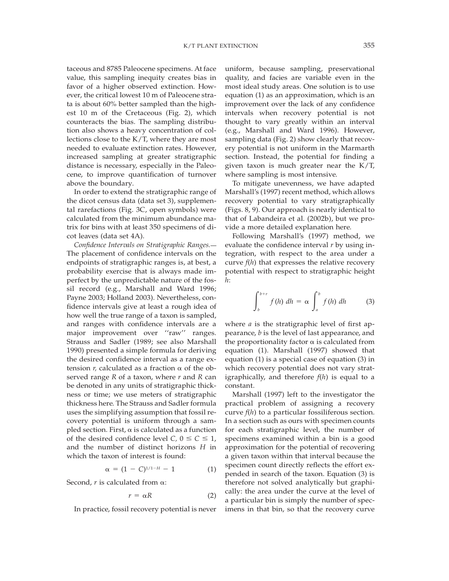taceous and 8785 Paleocene specimens. At face value, this sampling inequity creates bias in favor of a higher observed extinction. However, the critical lowest 10 m of Paleocene strata is about 60% better sampled than the highest 10 m of the Cretaceous (Fig. 2), which counteracts the bias. The sampling distribution also shows a heavy concentration of collections close to the K/T, where they are most needed to evaluate extinction rates. However, increased sampling at greater stratigraphic distance is necessary, especially in the Paleocene, to improve quantification of turnover above the boundary.

In order to extend the stratigraphic range of the dicot census data (data set 3), supplemental rarefactions (Fig. 3C, open symbols) were calculated from the minimum abundance matrix for bins with at least 350 specimens of dicot leaves (data set 4A).

*Confidence Intervals on Stratigraphic Ranges.* The placement of confidence intervals on the endpoints of stratigraphic ranges is, at best, a probability exercise that is always made imperfect by the unpredictable nature of the fossil record (e.g., Marshall and Ward 1996; Payne 2003; Holland 2003). Nevertheless, confidence intervals give at least a rough idea of how well the true range of a taxon is sampled, and ranges with confidence intervals are a major improvement over "raw" ranges. Strauss and Sadler (1989; see also Marshall 1990) presented a simple formula for deriving the desired confidence interval as a range extension  $r$ , calculated as a fraction  $\alpha$  of the observed range *R* of a taxon, where *r* and *R* can be denoted in any units of stratigraphic thickness or time; we use meters of stratigraphic thickness here. The Strauss and Sadler formula uses the simplifying assumption that fossil recovery potential is uniform through a sampled section. First,  $\alpha$  is calculated as a function of the desired confidence level  $C$ ,  $0 \le C \le 1$ , and the number of distinct horizons *H* in which the taxon of interest is found:

$$
\alpha = (1 - C)^{1/1 - H} - 1 \tag{1}
$$

Second, *r* is calculated from a:

$$
r = \alpha R \tag{2}
$$

In practice, fossil recovery potential is never

uniform, because sampling, preservational quality, and facies are variable even in the most ideal study areas. One solution is to use equation (1) as an approximation, which is an improvement over the lack of any confidence intervals when recovery potential is not thought to vary greatly within an interval (e.g., Marshall and Ward 1996). However, sampling data (Fig. 2) show clearly that recovery potential is not uniform in the Marmarth section. Instead, the potential for finding a given taxon is much greater near the K/T, where sampling is most intensive.

To mitigate unevenness, we have adapted Marshall's (1997) recent method, which allows recovery potential to vary stratigraphically (Figs. 8, 9). Our approach is nearly identical to that of Labandeira et al. (2002b), but we provide a more detailed explanation here.

Following Marshall's (1997) method, we evaluate the confidence interval *r* by using integration, with respect to the area under a curve *f*(*h*) that expresses the relative recovery potential with respect to stratigraphic height *h*:

$$
\int_{b}^{b+r} f(h) dh = \alpha \int_{a}^{b} f(h) dh \qquad (3)
$$

where *a* is the stratigraphic level of first appearance, *b* is the level of last appearance, and the proportionality factor  $\alpha$  is calculated from equation (1). Marshall (1997) showed that equation (1) is a special case of equation (3) in which recovery potential does not vary stratigraphically, and therefore *f*(*h*) is equal to a constant.

Marshall (1997) left to the investigator the practical problem of assigning a recovery curve *f*(*h*) to a particular fossiliferous section. In a section such as ours with specimen counts for each stratigraphic level, the number of specimens examined within a bin is a good approximation for the potential of recovering a given taxon within that interval because the specimen count directly reflects the effort expended in search of the taxon. Equation (3) is therefore not solved analytically but graphically: the area under the curve at the level of a particular bin is simply the number of specimens in that bin, so that the recovery curve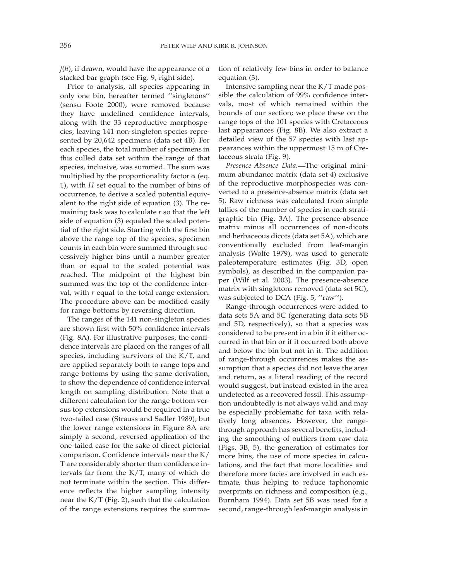*f*(*h*), if drawn, would have the appearance of a stacked bar graph (see Fig. 9, right side).

Prior to analysis, all species appearing in only one bin, hereafter termed ''singletons'' (sensu Foote 2000), were removed because they have undefined confidence intervals, along with the 33 reproductive morphospecies, leaving 141 non-singleton species represented by 20,642 specimens (data set 4B). For each species, the total number of specimens in this culled data set within the range of that species, inclusive, was summed. The sum was multiplied by the proportionality factor  $\alpha$  (eq. 1), with *H* set equal to the number of bins of occurrence, to derive a scaled potential equivalent to the right side of equation (3). The remaining task was to calculate *r* so that the left side of equation (3) equaled the scaled potential of the right side. Starting with the first bin above the range top of the species, specimen counts in each bin were summed through successively higher bins until a number greater than or equal to the scaled potential was reached. The midpoint of the highest bin summed was the top of the confidence interval, with *r* equal to the total range extension. The procedure above can be modified easily for range bottoms by reversing direction.

The ranges of the 141 non-singleton species are shown first with 50% confidence intervals (Fig. 8A). For illustrative purposes, the confidence intervals are placed on the ranges of all species, including survivors of the K/T, and are applied separately both to range tops and range bottoms by using the same derivation, to show the dependence of confidence interval length on sampling distribution. Note that a different calculation for the range bottom versus top extensions would be required in a true two-tailed case (Strauss and Sadler 1989), but the lower range extensions in Figure 8A are simply a second, reversed application of the one-tailed case for the sake of direct pictorial comparison. Confidence intervals near the K/ T are considerably shorter than confidence intervals far from the K/T, many of which do not terminate within the section. This difference reflects the higher sampling intensity near the K/T (Fig. 2), such that the calculation of the range extensions requires the summation of relatively few bins in order to balance equation (3).

Intensive sampling near the K/T made possible the calculation of 99% confidence intervals, most of which remained within the bounds of our section; we place these on the range tops of the 101 species with Cretaceous last appearances (Fig. 8B). We also extract a detailed view of the 57 species with last appearances within the uppermost 15 m of Cretaceous strata (Fig. 9).

*Presence-Absence Data.* The original minimum abundance matrix (data set 4) exclusive of the reproductive morphospecies was converted to a presence-absence matrix (data set 5). Raw richness was calculated from simple tallies of the number of species in each stratigraphic bin (Fig. 3A). The presence-absence matrix minus all occurrences of non-dicots and herbaceous dicots (data set 5A), which are conventionally excluded from leaf-margin analysis (Wolfe 1979), was used to generate paleotemperature estimates (Fig. 3D, open symbols), as described in the companion paper (Wilf et al. 2003). The presence-absence matrix with singletons removed (data set 5C), was subjected to DCA (Fig. 5, "raw").

Range-through occurrences were added to data sets 5A and 5C (generating data sets 5B and 5D, respectively), so that a species was considered to be present in a bin if it either occurred in that bin or if it occurred both above and below the bin but not in it. The addition of range-through occurrences makes the assumption that a species did not leave the area and return, as a literal reading of the record would suggest, but instead existed in the area undetected as a recovered fossil. This assumption undoubtedly is not always valid and may be especially problematic for taxa with relatively long absences. However, the rangethrough approach has several benefits, including the smoothing of outliers from raw data (Figs. 3B, 5), the generation of estimates for more bins, the use of more species in calculations, and the fact that more localities and therefore more facies are involved in each estimate, thus helping to reduce taphonomic overprints on richness and composition (e.g., Burnham 1994). Data set 5B was used for a second, range-through leaf-margin analysis in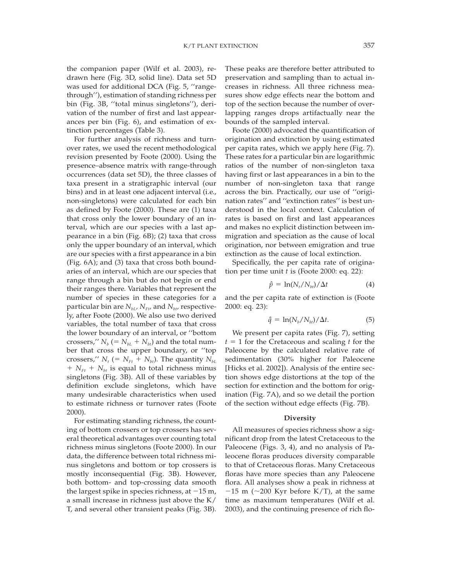the companion paper (Wilf et al. 2003), redrawn here (Fig. 3D, solid line). Data set 5D was used for additional DCA (Fig. 5, ''rangethrough''), estimation of standing richness per bin (Fig. 3B, ''total minus singletons''), derivation of the number of first and last appearances per bin (Fig. 6), and estimation of extinction percentages (Table 3).

For further analysis of richness and turnover rates, we used the recent methodological revision presented by Foote (2000). Using the presence–absence matrix with range-through occurrences (data set 5D), the three classes of taxa present in a stratigraphic interval (our bins) and in at least one adjacent interval (i.e., non-singletons) were calculated for each bin as defined by Foote (2000). These are (1) taxa that cross only the lower boundary of an interval, which are our species with a last appearance in a bin (Fig. 6B); (2) taxa that cross only the upper boundary of an interval, which are our species with a first appearance in a bin (Fig. 6A); and (3) taxa that cross both boundaries of an interval, which are our species that range through a bin but do not begin or end their ranges there. Variables that represent the number of species in these categories for a particular bin are  $N_{bL}$ ,  $N_{Ft}$ , and  $N_{btr}$  respectively, after Foote (2000). We also use two derived variables, the total number of taxa that cross the lower boundary of an interval, or ''bottom crossers,"  $N_b$  (=  $N_{bL}$  +  $N_{bt}$ ) and the total number that cross the upper boundary, or ''top crossers,"  $N_t$  (=  $N_{Ft}$  +  $N_{bt}$ ). The quantity  $N_{bL}$  $1 + N_{Ft} + N_{bt}$  is equal to total richness minus singletons (Fig. 3B). All of these variables by definition exclude singletons, which have many undesirable characteristics when used to estimate richness or turnover rates (Foote 2000).

For estimating standing richness, the counting of bottom crossers or top crossers has several theoretical advantages over counting total richness minus singletons (Foote 2000). In our data, the difference between total richness minus singletons and bottom or top crossers is mostly inconsequential (Fig. 3B). However, both bottom- and top-crossing data smooth the largest spike in species richness, at  $-15$  m, a small increase in richness just above the K/ T, and several other transient peaks (Fig. 3B).

These peaks are therefore better attributed to preservation and sampling than to actual increases in richness. All three richness measures show edge effects near the bottom and top of the section because the number of overlapping ranges drops artifactually near the bounds of the sampled interval.

Foote (2000) advocated the quantification of origination and extinction by using estimated per capita rates, which we apply here (Fig. 7). These rates for a particular bin are logarithmic ratios of the number of non-singleton taxa having first or last appearances in a bin to the number of non-singleton taxa that range across the bin. Practically, our use of ''origination rates'' and ''extinction rates'' is best understood in the local context. Calculation of rates is based on first and last appearances and makes no explicit distinction between immigration and speciation as the cause of local origination, nor between emigration and true extinction as the cause of local extinction.

Specifically, the per capita rate of origination per time unit *t* is (Foote 2000: eq. 22):

$$
\hat{p} = \ln(N_t/N_{bt})/\Delta t \tag{4}
$$

and the per capita rate of extinction is (Foote 2000: eq. 23):

$$
\hat{q} = \ln(N_b/N_{bt})/\Delta t. \tag{5}
$$

We present per capita rates (Fig. 7), setting  $t = 1$  for the Cretaceous and scaling  $t$  for the Paleocene by the calculated relative rate of sedimentation (30% higher for Paleocene [Hicks et al. 2002]). Analysis of the entire section shows edge distortions at the top of the section for extinction and the bottom for origination (Fig. 7A), and so we detail the portion of the section without edge effects (Fig. 7B).

#### **Diversity**

All measures of species richness show a significant drop from the latest Cretaceous to the Paleocene (Figs. 3, 4), and no analysis of Paleocene floras produces diversity comparable to that of Cretaceous floras. Many Cretaceous floras have more species than any Paleocene flora. All analyses show a peak in richness at  $-15$  m ( $\sim$ 200 Kyr before K/T), at the same time as maximum temperatures (Wilf et al. 2003), and the continuing presence of rich flo-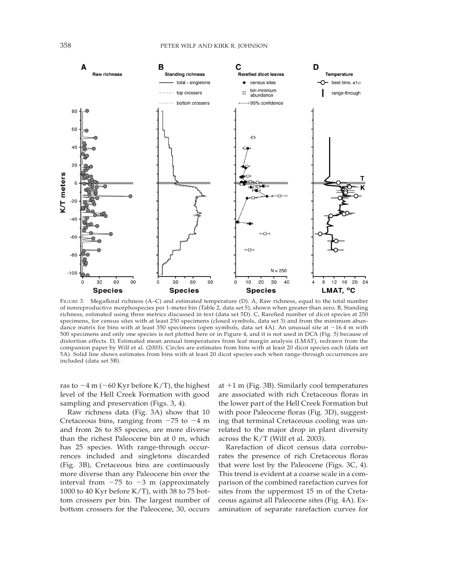

FIGURE 3. Megafloral richness (A–C) and estimated temperature (D). A, Raw richness, equal to the total number of nonreproductive morphospecies per 1-meter bin (Table 2, data set 5), shown when greater than zero. B, Standing richness, estimated using three metrics discussed in text (data set 5D). C, Rarefied number of dicot species at 250 specimens, for census sites with at least 250 specimens (closed symbols, data set 3) and from the minimum abundance matrix for bins with at least 350 specimens (open symbols, data set 4A). An unusual site at  $-16.4$  m with 500 specimens and only one species is not plotted here or in Figure 4, and it is not used in DCA (Fig. 5) because of distortion effects. D, Estimated mean annual temperatures from leaf margin analysis (LMAT), redrawn from the companion paper by Wilf et al. (2003). Circles are estimates from bins with at least 20 dicot species each (data set 5A). Solid line shows estimates from bins with at least 20 dicot species each when range-through occurrences are included (data set 5B).

ras to  $-4$  m ( $\sim$  60 Kyr before K/T), the highest level of the Hell Creek Formation with good sampling and preservation (Figs. 3, 4).

Raw richness data (Fig. 3A) show that 10 Cretaceous bins, ranging from  $-75$  to  $-4$  m and from 26 to 85 species, are more diverse than the richest Paleocene bin at 0 m, which has 25 species. With range-through occurrences included and singletons discarded (Fig. 3B), Cretaceous bins are continuously more diverse than any Paleocene bin over the interval from  $-75$  to  $-3$  m (approximately 1000 to 40 Kyr before K/T), with 38 to 75 bottom crossers per bin. The largest number of bottom crossers for the Paleocene, 30, occurs at  $+1$  m (Fig. 3B). Similarly cool temperatures are associated with rich Cretaceous floras in the lower part of the Hell Creek Formation but with poor Paleocene floras (Fig. 3D), suggesting that terminal Cretaceous cooling was unrelated to the major drop in plant diversity across the K/T (Wilf et al. 2003).

Rarefaction of dicot census data corroborates the presence of rich Cretaceous floras that were lost by the Paleocene (Figs. 3C, 4). This trend is evident at a coarse scale in a comparison of the combined rarefaction curves for sites from the uppermost 15 m of the Cretaceous against all Paleocene sites (Fig. 4A). Examination of separate rarefaction curves for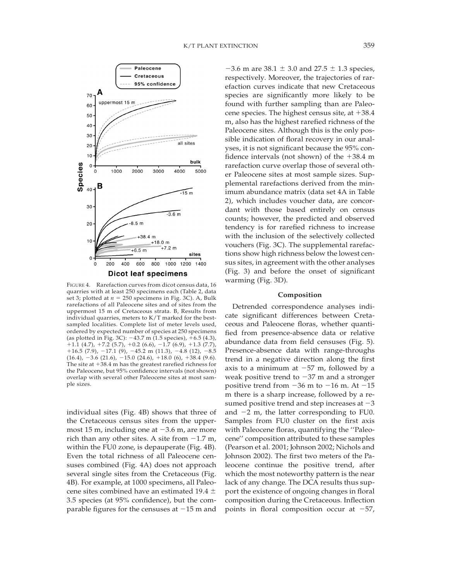

FIGURE 4. Rarefaction curves from dicot census data, 16 quarries with at least 250 specimens each (Table 2, data set 3; plotted at  $n = 250$  specimens in Fig. 3C). A, Bulk rarefactions of all Paleocene sites and of sites from the uppermost 15 m of Cretaceous strata. B, Results from individual quarries, meters to K/T marked for the bestsampled localities. Complete list of meter levels used, ordered by expected number of species at 250 specimens (as plotted in Fig. 3C):  $-43.7$  m (1.5 species),  $+6.5$  (4.3),  $+1.\overline{1}$  (4.7),  $+7.\overline{2}$  (5.7),  $+0.2$  (6.6),  $-1.\overline{7}$  (6.9),  $+1.3$  (7.7),  $+16.5$  (7.9),  $-17.1$  (9),  $-45.2$  m (11.3),  $-4.8$  (12),  $-8.5$  $(16.4), -3.6$   $(21.6), -15.0$   $(24.6), +18.0$   $(6), +38.4$   $(9.6).$ The site at  $+38.4$  m has the greatest rarefied richness for the Paleocene, but 95% confidence intervals (not shown) overlap with several other Paleocene sites at most sample sizes.

individual sites (Fig. 4B) shows that three of the Cretaceous census sites from the uppermost 15 m, including one at  $-3.6$  m, are more rich than any other sites. A site from  $-1.7$  m, within the FU0 zone, is depauperate (Fig. 4B). Even the total richness of all Paleocene censuses combined (Fig. 4A) does not approach several single sites from the Cretaceous (Fig. 4B). For example, at 1000 specimens, all Paleocene sites combined have an estimated 19.4  $\pm$ 3.5 species (at 95% confidence), but the comparable figures for the censuses at  $-15$  m and

 $-3.6$  m are  $38.1 \pm 3.0$  and  $27.5 \pm 1.3$  species, respectively. Moreover, the trajectories of rarefaction curves indicate that new Cretaceous species are significantly more likely to be found with further sampling than are Paleocene species. The highest census site, at  $+38.4$ m, also has the highest rarefied richness of the Paleocene sites. Although this is the only possible indication of floral recovery in our analyses, it is not significant because the 95% confidence intervals (not shown) of the  $+38.4$  m rarefaction curve overlap those of several other Paleocene sites at most sample sizes. Supplemental rarefactions derived from the minimum abundance matrix (data set 4A in Table 2), which includes voucher data, are concordant with those based entirely on census counts; however, the predicted and observed tendency is for rarefied richness to increase with the inclusion of the selectively collected vouchers (Fig. 3C). The supplemental rarefactions show high richness below the lowest census sites, in agreement with the other analyses (Fig. 3) and before the onset of significant warming (Fig. 3D).

#### **Composition**

Detrended correspondence analyses indicate significant differences between Cretaceous and Paleocene floras, whether quantified from presence-absence data or relative abundance data from field censuses (Fig. 5). Presence-absence data with range-throughs trend in a negative direction along the first axis to a minimum at  $-57$  m, followed by a weak positive trend to  $-37$  m and a stronger positive trend from  $-36$  m to  $-16$  m. At  $-15$ m there is a sharp increase, followed by a resumed positive trend and step increases at  $-3$ and  $-2$  m, the latter corresponding to FU0. Samples from FU0 cluster on the first axis with Paleocene floras, quantifying the ''Paleocene'' composition attributed to these samples (Pearson et al. 2001; Johnson 2002; Nichols and Johnson 2002). The first two meters of the Paleocene continue the positive trend, after which the most noteworthy pattern is the near lack of any change. The DCA results thus support the existence of ongoing changes in floral composition during the Cretaceous. Inflection points in floral composition occur at  $-57$ ,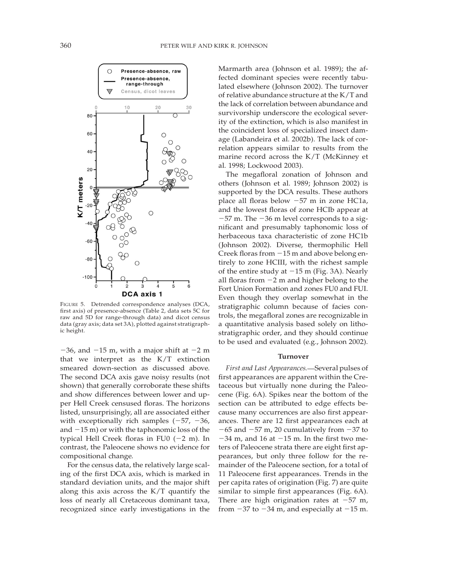

FIGURE 5. Detrended correspondence analyses (DCA, first axis) of presence-absence (Table 2, data sets 5C for raw and 5D for range-through data) and dicot census data (gray axis; data set 3A), plotted against stratigraphic height.

 $-36$ , and  $-15$  m, with a major shift at  $-2$  m that we interpret as the K/T extinction smeared down-section as discussed above. The second DCA axis gave noisy results (not shown) that generally corroborate these shifts and show differences between lower and upper Hell Creek censused floras. The horizons listed, unsurprisingly, all are associated either with exceptionally rich samples  $(-57, -36,$ and  $-15$  m) or with the taphonomic loss of the typical Hell Creek floras in FU0  $(-2 \text{ m})$ . In contrast, the Paleocene shows no evidence for compositional change.

For the census data, the relatively large scaling of the first DCA axis, which is marked in standard deviation units, and the major shift along this axis across the K/T quantify the loss of nearly all Cretaceous dominant taxa, recognized since early investigations in the Marmarth area (Johnson et al. 1989); the affected dominant species were recently tabulated elsewhere (Johnson 2002). The turnover of relative abundance structure at the K/T and the lack of correlation between abundance and survivorship underscore the ecological severity of the extinction, which is also manifest in the coincident loss of specialized insect damage (Labandeira et al. 2002b). The lack of correlation appears similar to results from the marine record across the K/T (McKinney et al. 1998; Lockwood 2003).

The megafloral zonation of Johnson and others (Johnson et al. 1989; Johnson 2002) is supported by the DCA results. These authors place all floras below  $-57$  m in zone HC1a, and the lowest floras of zone HCIb appear at  $-57$  m. The  $-36$  m level corresponds to a significant and presumably taphonomic loss of herbaceous taxa characteristic of zone HC1b (Johnson 2002). Diverse, thermophilic Hell Creek floras from  $-15$  m and above belong entirely to zone HCIII, with the richest sample of the entire study at  $-15$  m (Fig. 3A). Nearly all floras from  $-2$  m and higher belong to the Fort Union Formation and zones FU0 and FUI. Even though they overlap somewhat in the stratigraphic column because of facies controls, the megafloral zones are recognizable in a quantitative analysis based solely on lithostratigraphic order, and they should continue to be used and evaluated (e.g., Johnson 2002).

#### **Turnover**

First and Last Appearances.**-** Several pulses of first appearances are apparent within the Cretaceous but virtually none during the Paleocene (Fig. 6A). Spikes near the bottom of the section can be attributed to edge effects because many occurrences are also first appearances. There are 12 first appearances each at  $-65$  and  $-57$  m, 20 cumulatively from  $-37$  to  $-34$  m, and 16 at  $-15$  m. In the first two meters of Paleocene strata there are eight first appearances, but only three follow for the remainder of the Paleocene section, for a total of 11 Paleocene first appearances. Trends in the per capita rates of origination (Fig. 7) are quite similar to simple first appearances (Fig. 6A). There are high origination rates at  $-57$  m, from  $-37$  to  $-34$  m, and especially at  $-15$  m.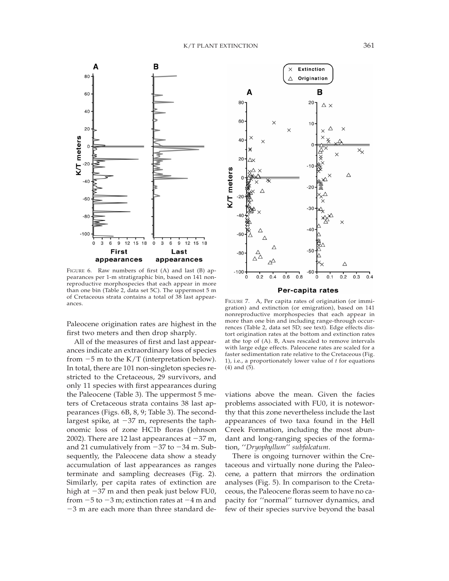

FIGURE 6. Raw numbers of first  $(A)$  and last  $(B)$  appearances per 1-m stratigraphic bin, based on 141 nonreproductive morphospecies that each appear in more than one bin (Table 2, data set 5C). The uppermost 5 m of Cretaceous strata contains a total of 38 last appearances. FIGURE 7. A, Per capita rates of origination (or immi-

Paleocene origination rates are highest in the first two meters and then drop sharply.

All of the measures of first and last appearances indicate an extraordinary loss of species from  $-5$  m to the K/T (interpretation below). In total, there are 101 non-singleton species restricted to the Cretaceous, 29 survivors, and only 11 species with first appearances during the Paleocene (Table 3). The uppermost 5 meters of Cretaceous strata contains 38 last appearances (Figs. 6B, 8, 9; Table 3). The secondlargest spike, at  $-37$  m, represents the taphonomic loss of zone HC1b floras (Johnson 2002). There are 12 last appearances at  $-37$  m, and 21 cumulatively from  $-37$  to  $-34$  m. Subsequently, the Paleocene data show a steady accumulation of last appearances as ranges terminate and sampling decreases (Fig. 2). Similarly, per capita rates of extinction are high at  $-37$  m and then peak just below FU0, from  $-5$  to  $-3$  m; extinction rates at  $-4$  m and  $-3$  m are each more than three standard de-



Per-capita rates

gration) and extinction (or emigration), based on 141 nonreproductive morphospecies that each appear in more than one bin and including range-through occurrences (Table 2, data set 5D; see text). Edge effects distort origination rates at the bottom and extinction rates at the top of (A). B, Axes rescaled to remove intervals with large edge effects. Paleocene rates are scaled for a faster sedimentation rate relative to the Cretaceous (Fig. 1), i.e., a proportionately lower value of *t* for equations (4) and (5).

viations above the mean. Given the facies problems associated with FU0, it is noteworthy that this zone nevertheless include the last appearances of two taxa found in the Hell Creek Formation, including the most abundant and long-ranging species of the formation, ''*Dryophyllum*'' *subfalcatum*.

There is ongoing turnover within the Cretaceous and virtually none during the Paleocene, a pattern that mirrors the ordination analyses (Fig. 5). In comparison to the Cretaceous, the Paleocene floras seem to have no capacity for ''normal'' turnover dynamics, and few of their species survive beyond the basal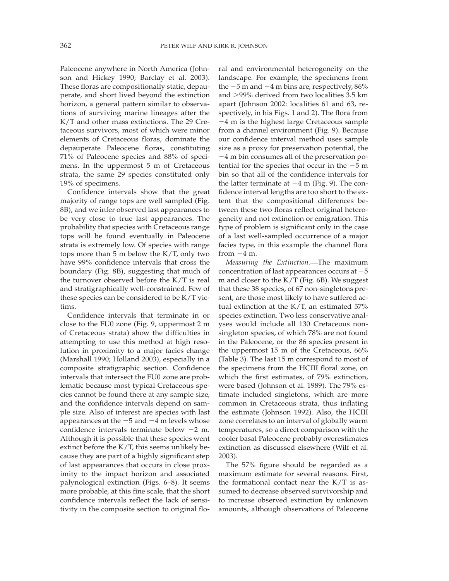Paleocene anywhere in North America (Johnson and Hickey 1990; Barclay et al. 2003). These floras are compositionally static, depauperate, and short lived beyond the extinction horizon, a general pattern similar to observations of surviving marine lineages after the K/T and other mass extinctions. The 29 Cretaceous survivors, most of which were minor elements of Cretaceous floras, dominate the depauperate Paleocene floras, constituting 71% of Paleocene species and 88% of specimens. In the uppermost 5 m of Cretaceous strata, the same 29 species constituted only 19% of specimens.

Confidence intervals show that the great majority of range tops are well sampled (Fig. 8B), and we infer observed last appearances to be very close to true last appearances. The probability that species with Cretaceous range tops will be found eventually in Paleocene strata is extremely low. Of species with range tops more than 5 m below the K/T, only two have 99% confidence intervals that cross the boundary (Fig. 8B), suggesting that much of the turnover observed before the K/T is real and stratigraphically well-constrained. Few of these species can be considered to be K/T victims.

Confidence intervals that terminate in or close to the FU0 zone (Fig. 9, uppermost 2 m of Cretaceous strata) show the difficulties in attempting to use this method at high resolution in proximity to a major facies change (Marshall 1990; Holland 2003), especially in a composite stratigraphic section. Confidence intervals that intersect the FU0 zone are problematic because most typical Cretaceous species cannot be found there at any sample size, and the confidence intervals depend on sample size. Also of interest are species with last appearances at the  $-5$  and  $-4$  m levels whose confidence intervals terminate below  $-2$  m. Although it is possible that these species went extinct before the K/T, this seems unlikely because they are part of a highly significant step of last appearances that occurs in close proximity to the impact horizon and associated palynological extinction (Figs. 6–8). It seems more probable, at this fine scale, that the short confidence intervals reflect the lack of sensitivity in the composite section to original floral and environmental heterogeneity on the landscape. For example, the specimens from the  $-5$  m and  $-4$  m bins are, respectively, 86% and >99% derived from two localities 3.5 km apart (Johnson 2002: localities 61 and 63, respectively, in his Figs. 1 and 2). The flora from  $-4$  m is the highest large Cretaceous sample from a channel environment (Fig. 9). Because our confidence interval method uses sample size as a proxy for preservation potential, the  $-4$  m bin consumes all of the preservation potential for the species that occur in the  $-5$  m bin so that all of the confidence intervals for the latter terminate at  $-4$  m (Fig. 9). The confidence interval lengths are too short to the extent that the compositional differences between these two floras reflect original heterogeneity and not extinction or emigration. This type of problem is significant only in the case of a last well-sampled occurrence of a major facies type, in this example the channel flora from  $-4$  m.

*Measuring the Extinction.* The maximum concentration of last appearances occurs at  $-5$ m and closer to the K/T (Fig. 6B). We suggest that these 38 species, of 67 non-singletons present, are those most likely to have suffered actual extinction at the  $K/T$ , an estimated 57% species extinction. Two less conservative analyses would include all 130 Cretaceous nonsingleton species, of which 78% are not found in the Paleocene, or the 86 species present in the uppermost 15 m of the Cretaceous, 66% (Table 3). The last 15 m correspond to most of the specimens from the HCIII floral zone, on which the first estimates, of 79% extinction, were based (Johnson et al. 1989). The 79% estimate included singletons, which are more common in Cretaceous strata, thus inflating the estimate (Johnson 1992). Also, the HCIII zone correlates to an interval of globally warm temperatures, so a direct comparison with the cooler basal Paleocene probably overestimates extinction as discussed elsewhere (Wilf et al. 2003).

The 57% figure should be regarded as a maximum estimate for several reasons. First, the formational contact near the  $K/T$  is assumed to decrease observed survivorship and to increase observed extinction by unknown amounts, although observations of Paleocene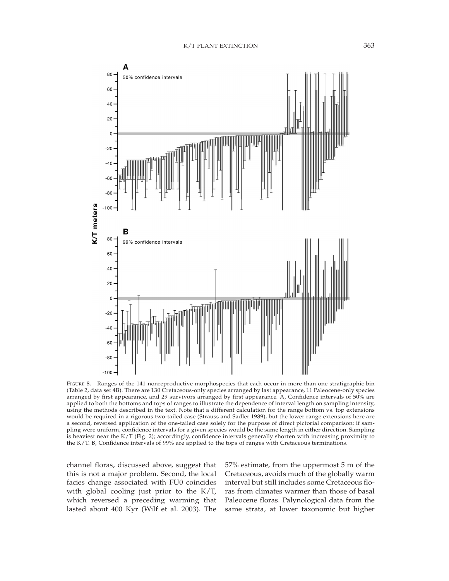

FIGURE 8. Ranges of the 141 nonreproductive morphospecies that each occur in more than one stratigraphic bin (Table 2, data set 4B). There are 130 Cretaceous-only species arranged by last appearance, 11 Paleocene-only species arranged by first appearance, and 29 survivors arranged by first appearance. A, Confidence intervals of 50% are applied to both the bottoms and tops of ranges to illustrate the dependence of interval length on sampling intensity, using the methods described in the text. Note that a different calculation for the range bottom vs. top extensions would be required in a rigorous two-tailed case (Strauss and Sadler 1989), but the lower range extensions here are a second, reversed application of the one-tailed case solely for the purpose of direct pictorial comparison: if sampling were uniform, confidence intervals for a given species would be the same length in either direction. Sampling is heaviest near the K/T (Fig. 2); accordingly, confidence intervals generally shorten with increasing proximity to the K/T. B, Confidence intervals of 99% are applied to the tops of ranges with Cretaceous terminations.

channel floras, discussed above, suggest that this is not a major problem. Second, the local facies change associated with FU0 coincides with global cooling just prior to the K/T, which reversed a preceding warming that lasted about 400 Kyr (Wilf et al. 2003). The

57% estimate, from the uppermost 5 m of the Cretaceous, avoids much of the globally warm interval but still includes some Cretaceous floras from climates warmer than those of basal Paleocene floras. Palynological data from the same strata, at lower taxonomic but higher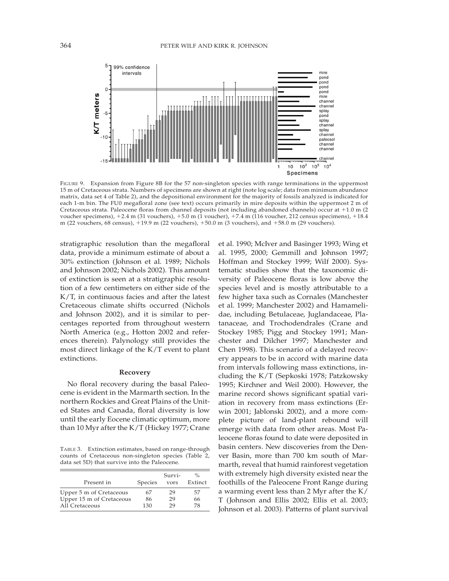

FIGURE 9. Expansion from Figure 8B for the 57 non-singleton species with range terminations in the uppermost 15 m of Cretaceous strata. Numbers of specimens are shown at right (note log scale; data from minimum abundance matrix, data set 4 of Table 2), and the depositional environment for the majority of fossils analyzed is indicated for each 1-m bin. The FU0 megafloral zone (see text) occurs primarily in mire deposits within the uppermost 2 m of Cretaceous strata. Paleocene floras from channel deposits (not including abandoned channels) occur at  $+1.0$  m (2) voucher specimens),  $+2.4$  m (31 vouchers),  $+5.0$  m (1 voucher),  $+7.4$  m (116 voucher, 212 census specimens),  $+18.4$ m (22 vouchers, 68 census), 119.9 m (22 vouchers), 150.0 m (3 vouchers), and 158.0 m (29 vouchers).

stratigraphic resolution than the megafloral data, provide a minimum estimate of about a 30% extinction (Johnson et al. 1989; Nichols and Johnson 2002; Nichols 2002). This amount of extinction is seen at a stratigraphic resolution of a few centimeters on either side of the K/T, in continuous facies and after the latest Cretaceous climate shifts occurred (Nichols and Johnson 2002), and it is similar to percentages reported from throughout western North America (e.g., Hotton 2002 and references therein). Palynology still provides the most direct linkage of the K/T event to plant extinctions.

#### **Recovery**

No floral recovery during the basal Paleocene is evident in the Marmarth section. In the northern Rockies and Great Plains of the United States and Canada, floral diversity is low until the early Eocene climatic optimum, more than 10 Myr after the K/T (Hickey 1977; Crane

TABLE 3. Extinction estimates, based on range-through counts of Cretaceous non-singleton species (Table 2, data set 5D) that survive into the Paleocene.

| Present in               | Species | Survi-<br>vors | $\%$<br>Extinct |
|--------------------------|---------|----------------|-----------------|
| Upper 5 m of Cretaceous  | 67      | 29             | 57              |
| Upper 15 m of Cretaceous | 86      | 29             | 66              |
| All Cretaceous           | 130     | 29             | 78              |

et al. 1990; McIver and Basinger 1993; Wing et al. 1995, 2000; Gemmill and Johnson 1997; Hoffman and Stockey 1999; Wilf 2000). Systematic studies show that the taxonomic diversity of Paleocene floras is low above the species level and is mostly attributable to a few higher taxa such as Cornales (Manchester et al. 1999; Manchester 2002) and Hamamelidae, including Betulaceae, Juglandaceae, Platanaceae, and Trochodendrales (Crane and Stockey 1985; Pigg and Stockey 1991; Manchester and Dilcher 1997; Manchester and Chen 1998). This scenario of a delayed recovery appears to be in accord with marine data from intervals following mass extinctions, including the K/T (Sepkoski 1978; Patzkowsky 1995; Kirchner and Weil 2000). However, the marine record shows significant spatial variation in recovery from mass extinctions (Erwin 2001; Jablonski 2002), and a more complete picture of land-plant rebound will emerge with data from other areas. Most Paleocene floras found to date were deposited in basin centers. New discoveries from the Denver Basin, more than 700 km south of Marmarth, reveal that humid rainforest vegetation with extremely high diversity existed near the foothills of the Paleocene Front Range during a warming event less than 2 Myr after the K/ T (Johnson and Ellis 2002; Ellis et al. 2003; Johnson et al. 2003). Patterns of plant survival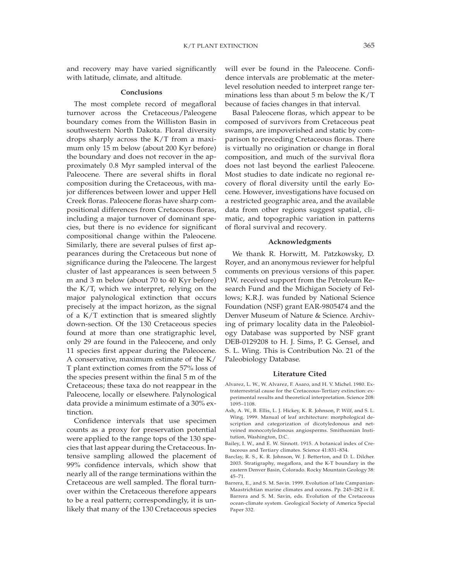and recovery may have varied significantly with latitude, climate, and altitude.

## **Conclusions**

The most complete record of megafloral turnover across the Cretaceous/Paleogene boundary comes from the Williston Basin in southwestern North Dakota. Floral diversity drops sharply across the K/T from a maximum only 15 m below (about 200 Kyr before) the boundary and does not recover in the approximately 0.8 Myr sampled interval of the Paleocene. There are several shifts in floral composition during the Cretaceous, with major differences between lower and upper Hell Creek floras. Paleocene floras have sharp compositional differences from Cretaceous floras, including a major turnover of dominant species, but there is no evidence for significant compositional change within the Paleocene. Similarly, there are several pulses of first appearances during the Cretaceous but none of significance during the Paleocene. The largest cluster of last appearances is seen between 5 m and 3 m below (about 70 to 40 Kyr before) the K/T, which we interpret, relying on the major palynological extinction that occurs precisely at the impact horizon, as the signal of a K/T extinction that is smeared slightly down-section. Of the 130 Cretaceous species found at more than one stratigraphic level, only 29 are found in the Paleocene, and only 11 species first appear during the Paleocene. A conservative, maximum estimate of the K/ T plant extinction comes from the 57% loss of the species present within the final 5 m of the Cretaceous; these taxa do not reappear in the Paleocene, locally or elsewhere. Palynological data provide a minimum estimate of a 30% extinction.

Confidence intervals that use specimen counts as a proxy for preservation potential were applied to the range tops of the 130 species that last appear during the Cretaceous. Intensive sampling allowed the placement of 99% confidence intervals, which show that nearly all of the range terminations within the Cretaceous are well sampled. The floral turnover within the Cretaceous therefore appears to be a real pattern; correspondingly, it is unlikely that many of the 130 Cretaceous species

will ever be found in the Paleocene. Confidence intervals are problematic at the meterlevel resolution needed to interpret range terminations less than about  $5$  m below the  $K/T$ because of facies changes in that interval.

Basal Paleocene floras, which appear to be composed of survivors from Cretaceous peat swamps, are impoverished and static by comparison to preceding Cretaceous floras. There is virtually no origination or change in floral composition, and much of the survival flora does not last beyond the earliest Paleocene. Most studies to date indicate no regional recovery of floral diversity until the early Eocene. However, investigations have focused on a restricted geographic area, and the available data from other regions suggest spatial, climatic, and topographic variation in patterns of floral survival and recovery.

#### **Acknowledgments**

We thank R. Horwitt, M. Patzkowsky, D. Royer, and an anonymous reviewer for helpful comments on previous versions of this paper. P.W. received support from the Petroleum Research Fund and the Michigan Society of Fellows; K.R.J. was funded by National Science Foundation (NSF) grant EAR-9805474 and the Denver Museum of Nature & Science. Archiving of primary locality data in the Paleobiology Database was supported by NSF grant DEB-0129208 to H. J. Sims, P. G. Gensel, and S. L. Wing. This is Contribution No. 21 of the Paleobiology Database.

#### **Literature Cited**

- Alvarez, L. W., W. Alvarez, F. Asaro, and H. V. Michel. 1980. Extraterrestrial cause for the Cretaceous-Tertiary extinction: experimental results and theoretical interpretation. Science 208: 1095–1108.
- Ash, A. W., B. Ellis, L. J. Hickey, K. R. Johnson, P. Wilf, and S. L. Wing. 1999. Manual of leaf architecture: morphological description and categorization of dicotyledonous and netveined monocotyledonous angiosperms. Smithsonian Institution, Washington, D.C.
- Bailey, I. W., and E. W. Sinnott. 1915. A botanical index of Cretaceous and Tertiary climates. Science 41:831–834.
- Barclay, R. S., K. R. Johnson, W. J. Betterton, and D. L. Dilcher. 2003. Stratigraphy, megaflora, and the K-T boundary in the eastern Denver Basin, Colorado. Rocky Mountain Geology 38: 45–71.
- Barrera, E., and S. M. Savin. 1999. Evolution of late Campanian-Maastrichtian marine climates and oceans. Pp. 245–282 *in* E. Barrera and S. M. Savin, eds. Evolution of the Cretaceous ocean-climate system. Geological Society of America Special Paper 332.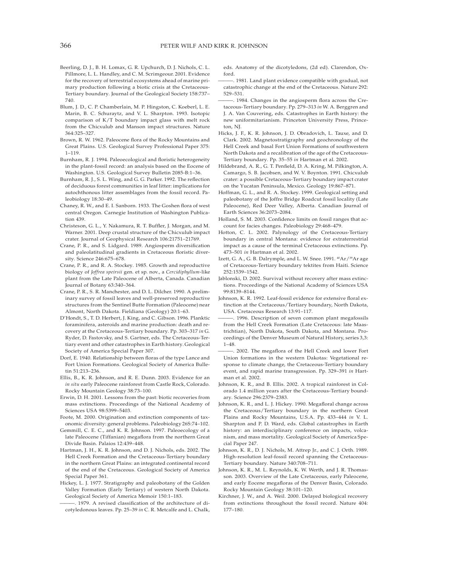- Beerling, D. J., B. H. Lomax, G. R. Upchurch, D. J. Nichols, C. L. Pillmore, L. L. Handley, and C. M. Scrimgeour. 2001. Evidence for the recovery of terrestrial ecosystems ahead of marine primary production following a biotic crisis at the Cretaceous-Tertiary boundary. Journal of the Geological Society 158:737– 740.
- Blum, J. D., C. P. Chamberlain, M. P. Hingston, C. Koeberl, L. E. Marin, B. C. Schuraytz, and V. L. Sharpton. 1993. Isotopic comparison of K/T boundary impact glass with melt rock from the Chicxulub and Manson impact structures. Nature 364:325–327.
- Brown, R. W. 1962. Paleocene flora of the Rocky Mountains and Great Plains. U.S. Geological Survey Professional Paper 375: 1–119.
- Burnham, R. J. 1994. Paleoecological and floristic heterogeneity in the plant-fossil record: an analysis based on the Eocene of Washington. U.S. Geological Survey Bulletin 2085-B:1–36.
- Burnham, R. J., S. L. Wing, and G. G. Parker. 1992. The reflection of deciduous forest communities in leaf litter: implications for autochthonous litter assemblages from the fossil record. Paleobiology 18:30–49.
- Chaney, R. W., and E. I. Sanborn. 1933. The Goshen flora of west central Oregon. Carnegie Institution of Washington Publication 439.
- Christeson, G. L., Y. Nakamura, R. T. Buffler, J. Morgan, and M. Warner. 2001. Deep crustal structure of the Chicxulub impact crater. Journal of Geophysical Research 106:21751–21769.
- Crane, P. R., and S. Lidgard. 1989. Angiosperm diversification and paleolatitudinal gradients in Cretaceous floristic diversity. Science 246:675–678.
- Crane, P. R., and R. A. Stockey. 1985. Growth and reproductive biology of *Joffrea speirsii* gen. et sp. nov., a *Cercidiphyllum*-like plant from the Late Paleocene of Alberta, Canada. Canadian Journal of Botany 63:340–364.
- Crane, P. R., S. R. Manchester, and D. L. Dilcher. 1990. A preliminary survey of fossil leaves and well-preserved reproductive structures from the Sentinel Butte Formation (Paleocene) near Almont, North Dakota. Fieldiana (Geology) 20:1–63.
- D'Hondt, S., T. D. Herbert, J. King, and C. Gibson. 1996. Planktic foraminifera, asteroids and marine production: death and recovery at the Cretaceous-Tertiary boundary. Pp. 303–317 *in* G. Ryder, D. Fastovsky, and S. Gartner, eds. The Cretaceous-Tertiary event and other catastrophes in Earth history. Geological Society of America Special Paper 307.
- Dorf, E. 1940. Relationship between floras of the type Lance and Fort Union Formations. Geological Society of America Bulletin 51:213–236.
- Ellis, B., K. R. Johnson, and R. E. Dunn. 2003. Evidence for an *in situ* early Paleocene rainforest from Castle Rock, Colorado. Rocky Mountain Geology 38:73–100.
- Erwin, D. H. 2001. Lessons from the past: biotic recoveries from mass extinctions. Proceedings of the National Academy of Sciences USA 98:5399–5403.
- Foote, M. 2000. Origination and extinction components of taxonomic diversity: general problems. Paleobiology 26S:74–102.
- Gemmill, C. E. C., and K. R. Johnson. 1997. Paleoecology of a late Paleocene (Tiffanian) megaflora from the northern Great Divide Basin. Palaios 12:439–448.
- Hartman, J. H., K. R. Johnson, and D. J. Nichols, eds. 2002. The Hell Creek Formation and the Cretaceous-Tertiary boundary in the northern Great Plains: an integrated continental record of the end of the Cretaceous. Geological Society of America Special Paper 361.
- Hickey, L. J. 1977. Stratigraphy and paleobotany of the Golden Valley Formation (Early Tertiary) of western North Dakota. Geological Society of America Memoir 150:1–183.
- ———. 1979. A revised classification of the architecture of dicotyledonous leaves. Pp. 25–39 *in* C. R. Metcalfe and L. Chalk,

eds. Anatomy of the dicotyledons, (2d ed). Clarendon, Oxford.

- -. 1981. Land plant evidence compatible with gradual, not catastrophic change at the end of the Cretaceous. Nature 292: 529–531.
- ———. 1984. Changes in the angiosperm flora across the Cretaceous-Tertiary boundary. Pp. 279–313 *in* W. A. Berggren and J. A. Van Couvering, eds. Catastrophes in Earth history: the new uniformitarianism. Princeton University Press, Princeton, NJ.
- Hicks, J. F., K. R. Johnson, J. D. Obradovich, L. Tauxe, and D. Clark. 2002. Magnetostratigraphy and geochronology of the Hell Creek and basal Fort Union Formations of southwestern North Dakota and a recalibration of the age of the Cretaceous-Tertiary boundary. Pp. 35–55 *in* Hartman et al. 2002.
- Hildebrand, A. R., G. T. Penfield, D. A. Kring, M. Pilkington, A. Camargo, S. B. Jacobsen, and W. V. Boynton. 1991. Chicxulub crater: a possible Cretaceous-Tertiary boundary impact crater on the Yucatan Peninsula, Mexico. Geology 19:867–871.
- Hoffman, G. L., and R. A. Stockey. 1999. Geological setting and paleobotany of the Joffre Bridge Roadcut fossil locality (Late Paleocene), Red Deer Valley, Alberta. Canadian Journal of Earth Sciences 36:2073–2084.
- Holland, S. M. 2003. Confidence limits on fossil ranges that account for facies changes. Paleobiology 29:468–479.
- Hotton, C. L. 2002. Palynology of the Cretaceous-Tertiary boundary in central Montana: evidence for extraterrestrial impact as a cause of the terminal Cretaceous extinctions. Pp. 473–501 *in* Hartman et al. 2002.
- Izett, G. A., G. B. Dalrymple, and L. W. Snee. 1991. <sup>40</sup>Ar/<sup>39</sup>Ar age of Cretaceous-Tertiary boundary tektites from Haiti. Science 252:1539–1542.
- Jablonski, D. 2002. Survival without recovery after mass extinctions. Proceedings of the National Academy of Sciences USA 99:8139–8144.
- Johnson, K. R. 1992. Leaf-fossil evidence for extensive floral extinction at the Cretaceous/Tertiary boundary, North Dakota, USA. Cretaceous Research 13:91–117.
- ———. 1996. Description of seven common plant megafossils from the Hell Creek Formation (Late Cretaceous: late Maastrichtian), North Dakota, South Dakota, and Montana. Proceedings of the Denver Museum of Natural History, series 3,3: 1–48.
- -. 2002. The megaflora of the Hell Creek and lower Fort Union formations in the western Dakotas: Vegetational response to climate change, the Cretaceous-Tertiary boundary event, and rapid marine transgression. Pp. 329–391 *in* Hartman et al. 2002.
- Johnson, K. R., and B. Ellis. 2002. A tropical rainforest in Colorado 1.4 million years after the Cretaceous-Tertiary boundary. Science 296:2379–2383.
- Johnson, K. R., and L. J. Hickey. 1990. Megafloral change across the Cretaceous/Tertiary boundary in the northern Great Plains and Rocky Mountains, U.S.A. Pp. 433–444 *in* V. L. Sharpton and P. D. Ward, eds. Global catastrophes in Earth history: an interdisciplinary conference on impacts, volcanism, and mass mortality. Geological Society of America Special Paper 247.
- Johnson, K. R., D. J. Nichols, M. Attrep Jr., and C. J. Orth. 1989. High-resolution leaf-fossil record spanning the Cretaceous-Tertiary boundary. Nature 340:708–711.
- Johnson, K. R., M. L. Reynolds, K. W. Werth, and J. R. Thomasson. 2003. Overview of the Late Cretaceous, early Paleocene, and early Eocene megafloras of the Denver Basin, Colorado. Rocky Mountain Geology 38:101–120.
- Kirchner, J. W., and A. Weil. 2000. Delayed biological recovery from extinctions throughout the fossil record. Nature 404: 177–180.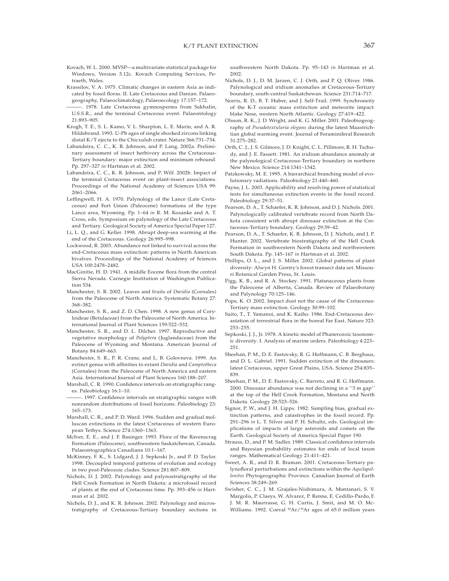- Kovach, W. L. 2000. MVSP—a multivariate statistical package for Windows, Version 3.12c. Kovach Computing Services, Petraeth, Wales.
- Krassilov, V. A. 1975. Climatic changes in eastern Asia as indicated by fossil floras. II. Late Cretaceous and Danian. Palaeogeography, Palaeoclimatology, Palaeoecology 17:157–172.
- 1978. Late Cretaceous gymnosperms from Sakhalin, U.S.S.R., and the terminal Cretaceous event. Palaeontology 21:893–905.
- Krogh, T. E., S. L. Kamo, V. L. Sharpton, L. E. Marin, and A. R. Hildebrand. 1993. U-Pb ages of single shocked zircons linking distal K/T ejecta to the Chicxulub crater. Nature 366:731–734.
- Labandeira, C. C., K. R. Johnson, and P. Lang. 2002a. Preliminary assessment of insect herbivory across the Cretaceous-Tertiary boundary: major extinction and minimum rebound. Pp. 297–327 *in* Hartman et al. 2002.
- Labandeira, C. C., K. R. Johnson, and P. Wilf. 2002b. Impact of the terminal Cretaceous event on plant-insect associations. Proceedings of the National Academy of Sciences USA 99: 2061–2066.
- Leffingwell, H. A. 1970. Palynology of the Lance (Late Cretaceous) and Fort Union (Paleocene) formations of the type Lance area, Wyoming. Pp. 1–64 *in* R. M. Kosanke and A. T. Cross, eds. Symposium on palynology of the Late Cretaceous and Tertiary. Geological Society of America Special Paper 127.
- Li, L. Q., and G. Keller. 1998. Abrupt deep-sea warming at the end of the Cretaceous. Geology 26:995–998.
- Lockwood, R. 2003. Abundance not linked to survival across the end-Cretaceous mass extinction: patterns in North American bivalves. Proceedings of the National Academy of Sciences USA 100:2478–2482.
- MacGinitie, H. D. 1941. A middle Eocene flora from the central Sierra Nevada. Carnegie Institution of Washington Publication 534.
- Manchester, S. R. 2002. Leaves and fruits of *Davidia* (Cornales) from the Paleocene of North America. Systematic Botany 27: 368–382.
- Manchester, S. R., and Z. D. Chen. 1998. A new genus of Coryloideae (Betulaceae) from the Paleocene of North America. International Journal of Plant Sciences 159:522–532.
- Manchester, S. R., and D. L. Dilcher. 1997. Reproductive and vegetative morphology of *Polyptera* (Juglandaceae) from the Paleocene of Wyoming and Montana. American Journal of Botany 84:649–663.
- Manchester, S. R., P. R. Crane, and L. B. Golovneva. 1999. An extinct genus with affinities to extant *Davidia* and *Camptotheca* (Cornales) from the Paleocene of North America and eastern Asia. International Journal of Plant Sciences 160:188–207.
- Marshall, C. R. 1990. Confidence intervals on stratigraphic ranges. Paleobiology 16:1–10.
- -. 1997. Confidence intervals on stratigraphic ranges with nonrandom distributions of fossil horizons. Paleobiology 23: 165–173.
- Marshall, C. R., and P. D. Ward. 1996. Sudden and gradual molluscan extinctions in the latest Cretaceous of western European Tethys. Science 274:1360–1363.
- McIver, E. E., and J. F. Basinger. 1993. Flora of the Ravenscrag Formation (Paleocene), southwestern Saskatchewan, Canada. Palaeontographica Canadiana 10:1–167.
- McKinney, F. K., S. Lidgard, J. J. Sepkoski Jr., and P. D. Taylor. 1998. Decoupled temporal patterns of evolution and ecology in two post-Paleozoic clades. Science 281:807–809.
- Nichols, D. J. 2002. Palynology and palynostratigraphy of the Hell Creek Formation in North Dakota: a microfossil record of plants at the end of Cretaceous time. Pp. 393–456 *in* Hartman et al. 2002.
- Nichols, D. J., and K. R. Johnson. 2002. Palynology and microstratigraphy of Cretaceous-Tertiary boundary sections in

southwestern North Dakota. Pp. 95–143 *in* Hartman et al. 2002.

- Nichols, D. J., D. M. Jarzen, C. J. Orth, and P. Q. Oliver. 1986. Palynological and iridium anomalies at Cretaceous-Tertiary boundary, south-central Saskatchewan. Science 231:714–717.
- Norris, R. D., B. T. Huber, and J. Self-Trail. 1999. Synchroneity of the K-T oceanic mass extinction and meteorite impact: blake Nose, western North Atlantic. Geology 27:419–422.
- Olsson, R. K., J. D. Wright, and K. G. Miller. 2001. Paleobiogeography of *Pseudotextularia elegans* during the latest Maastrichtian global warming event. Journal of Foraminiferal Research 31:275–282.
- Orth, C. J., J. S. Gilmore, J. D. Knight, C. L. Pillmore, R. H. Tschudy, and J. E. Fassett. 1981. An iridium abundance anomaly at the palynological Cretaceous-Tertiary boundary in northern New Mexico. Science 214:1341–1342.
- Patzkowsky, M. E. 1995. A hierarchical branching model of evolutionary radiations. Paleobiology 21:440–460.
- Payne, J. L. 2003. Applicability and resolving power of statistical tests for simultaneous extinction events in the fossil record. Paleobiology 29:37–51.
- Pearson, D. A., T. Schaefer, K. R. Johnson, and D. J. Nichols. 2001. Palynologically calibrated vertebrate record from North Dakota consistent with abrupt dinosaur extinction at the Cretaceous-Tertiary boundary. Geology 29:39–42.
- Pearson, D. A., T. Schaefer, K. R. Johnson, D. J. Nichols, and J. P. Hunter. 2002. Vertebrate biostratigraphy of the Hell Creek Formation in southwestern North Dakota and northwestern South Dakota. Pp. 145–167 *in* Hartman et al. 2002.
- Phillips, O. L., and J. S. Miller. 2002. Global patterns of plant diversity: Alwyn H. Gentry's forest transect data set. Missouri Botanical Garden Press, St. Louis.
- Pigg, K. B., and R. A. Stockey. 1991. Platanaceous plants from the Paleocene of Alberta, Canada. Review of Palaeobotany and Palynology 70:125–146.
- Pope, K. O. 2002. Impact dust not the cause of the Cretaceous-Tertiary mass extinction. Geology 30:99–102.
- Saito, T., T. Yamanoi, and K. Kaiho. 1986. End-Cretaceous devastation of terrestrial flora in the boreal Far East. Nature 323: 253–255.
- Sepkoski, J. J., Jr. 1978. A kinetic model of Phanerozoic taxonomic diversity. I. Analysis of marine orders. Paleobiology 4:223– 251.
- Sheehan, P. M., D. E. Fastovsky, R. G. Hoffmann, C. B. Berghaus, and D. L. Gabriel. 1991. Sudden extinction of the dinosaurs: latest Cretaceous, upper Great Plains, USA. Science 254:835– 839.
- Sheehan, P. M., D. E. Fastovsky, C. Barreto, and R. G. Hoffmann. 2000. Dinosaur abundance was not declining in a ''3 m gap'' at the top of the Hell Creek Formation, Montana and North Dakota. Geology 28:523–526.
- Signor, P. W., and J. H. Lipps. 1982. Sampling bias, gradual extinction patterns, and catastrophes in the fossil record. Pp. 291–296 *in* L. T. Silver and P. H. Schultz, eds. Geological implications of impacts of large asteroids and comets on the Earth. Geological Society of America Special Paper 190.
- Strauss, D., and P. M. Sadler. 1989. Classical confidence intervals and Bayesian probability estimates for ends of local taxon ranges. Mathematical Geology 21:411–421.
- Sweet, A. R., and D. R. Braman. 2001. Cretaceous-Tertiary palynofloral perturbations and extinctions within the *Aquilapollenites* Phytogeographic Province. Canadian Journal of Earth Sciences 38:249–269.
- Swisher, C. C., J. M. Grajales-Nishimura, A. Montanari, S. V. Margolis, P. Claeys, W. Alvarez, P. Renne, E. Cedillo-Pardo, F. J. M. R. Maurrasse, G. H. Curtis, J. Smit, and M. O. Mc-Williams. 1992. Coeval <sup>40</sup>Ar/<sup>39</sup>Ar ages of 65.0 million years